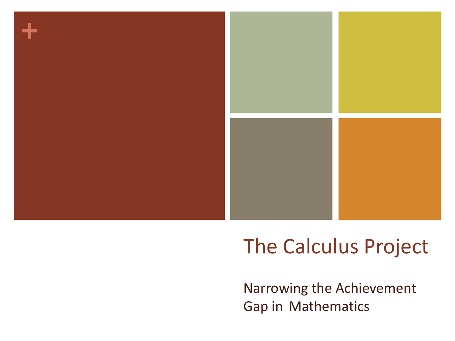

## The Calculus Project

Narrowing the Achievement Gap in Mathematics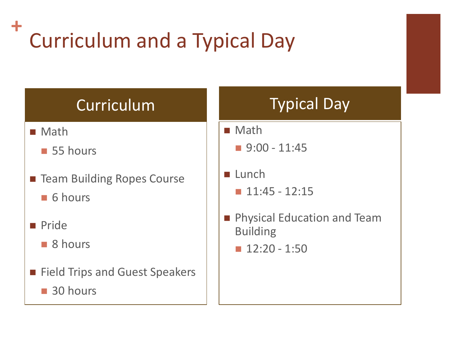#### **+** Curriculum and a Typical Day

### Curriculum Typical Day

- Math
	- **55 hours**
- **Team Building Ropes Course** 
	- 6 hours
- **Pride** 
	- 8 hours
- **Field Trips and Guest Speakers** 
	- 30 hours

- Math
	- $\blacksquare$  9:00 11:45
- $\blacksquare$  Lunch
	- $\blacksquare$  11:45 12:15
- **Physical Education and Team** Building
	- $\blacksquare$  12:20 1:50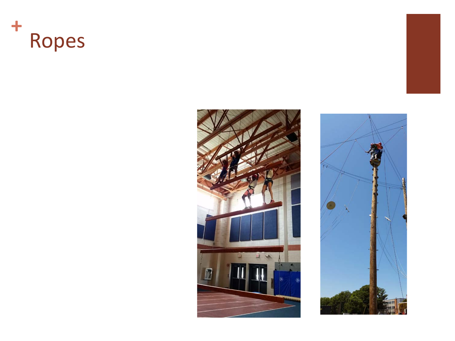



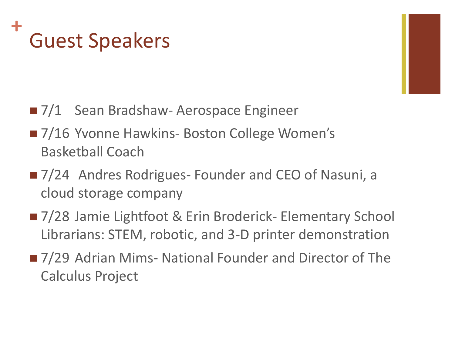#### **+** Guest Speakers

- 7/1 Sean Bradshaw- Aerospace Engineer
- 7/16 Yvonne Hawkins- Boston College Women's Basketball Coach
- 7/24 Andres Rodrigues- Founder and CEO of Nasuni, a cloud storage company
- 7/28 Jamie Lightfoot & Erin Broderick- Elementary School Librarians: STEM, robotic, and 3-D printer demonstration
- 7/29 Adrian Mims- National Founder and Director of The Calculus Project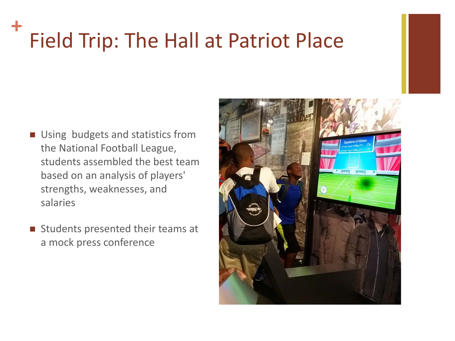### **+** Field Trip: The Hall at Patriot Place

- **Using budgets and statistics from** the National Football League, students assembled the best team based on an analysis of players' strengths, weaknesses, and salaries
- $\blacksquare$  Students presented their teams at a mock press conference

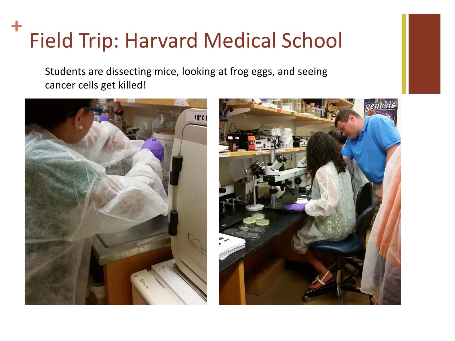#### **+** Field Trip: Harvard Medical School

Students are dissecting mice, looking at frog eggs, and seeing cancer cells get killed!



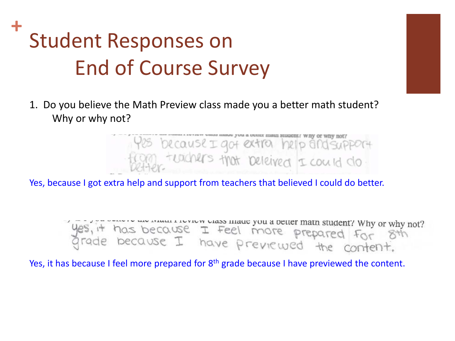1. Do you believe the Math Preview class made you a better math student? Why or why not?



Yes, because I got extra help and support from teachers that believed I could do better.

yes, it has because I feel more prepared for 8th<br>grade because I have previewed the content.

Yes, it has because I feel more prepared for 8<sup>th</sup> grade because I have previewed the content.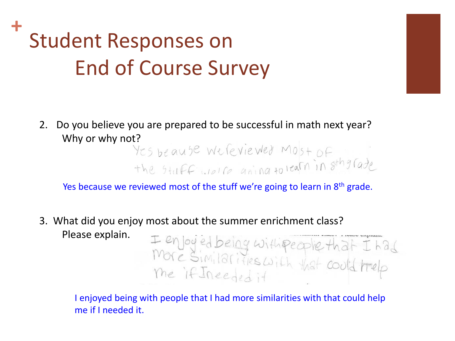2. Do you believe you are prepared to be successful in math next year?

Why or why not?<br>Yes be ause we feviewed Most of<br>the stuff welle going to learn in sthatade

Yes because we reviewed most of the stuff we're going to learn in 8<sup>th</sup> grade.

3. What did you enjoy most about the summer enrichment class? Please explain. I enjoyed being with people that I had<br>More Similarities with that could trelp

I enjoyed being with people that I had more similarities with that could help me if I needed it.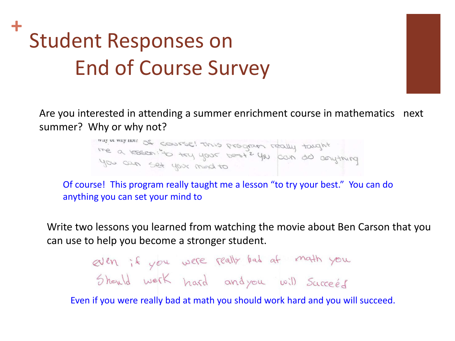Are you interested in attending a summer enrichment course in mathematics next summer? Why or why not?

> the a resear; to try your bester you can do conything you can set your mind to

Of course! This program really taught me a lesson "to try your best." You can do anything you can set your mind to

Write two lessons you learned from watching the movie about Ben Carson that you can use to help you become a stronger student.

even if you were really bad at math you

Even if you were really bad at math you should work hard and you will succeed.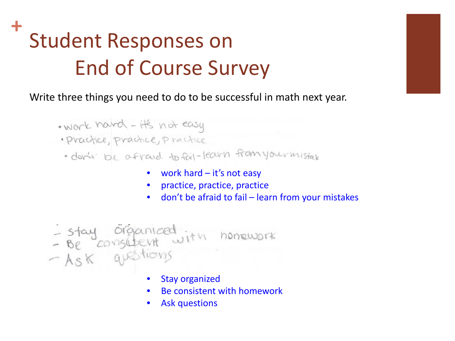Write three things you need to do to be successful in math next year.

- . work hard it's not easy
- · Practice, practice, practice
- · dar't be afraid to fail-learn from your mistak
	- work hard it's not easy
	- practice, practice, practice
	- don't be afraid to fail learn from your mistakes

- stay organized<br>- Be consident with homework<br>- Ask questions

- **Stay organized**
- Be consistent with homework
- Ask questions